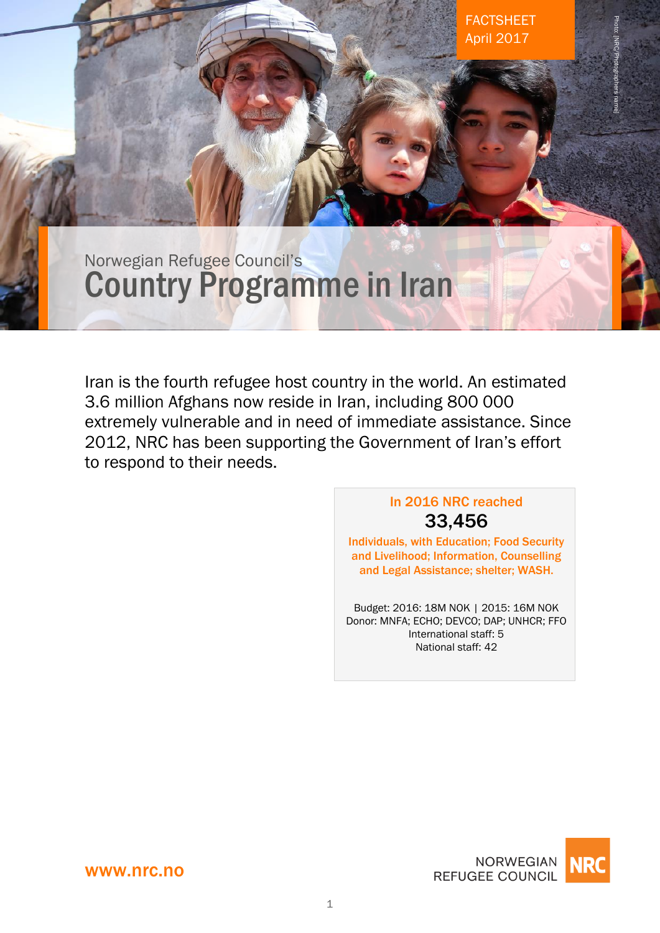Norwegian Refugee Council's Country Programme in Iran

Iran is the fourth refugee host country in the world. An estimated 3.6 million Afghans now reside in Iran, including 800 000 extremely vulnerable and in need of immediate assistance. Since 2012, NRC has been supporting the Government of Iran's effort to respond to their needs.

# In 2016 NRC reached 33,456

FACTSHEET April 2017

Photo: [NRC/Photographers name]

Individuals, with Education; Food Security and Livelihood; Information, Counselling and Legal Assistance; shelter; WASH.

Budget: 2016: 18M NOK | 2015: 16M NOK Donor: MNFA; ECHO; DEVCO; DAP; UNHCR; FFO International staff: 5 National staff: 42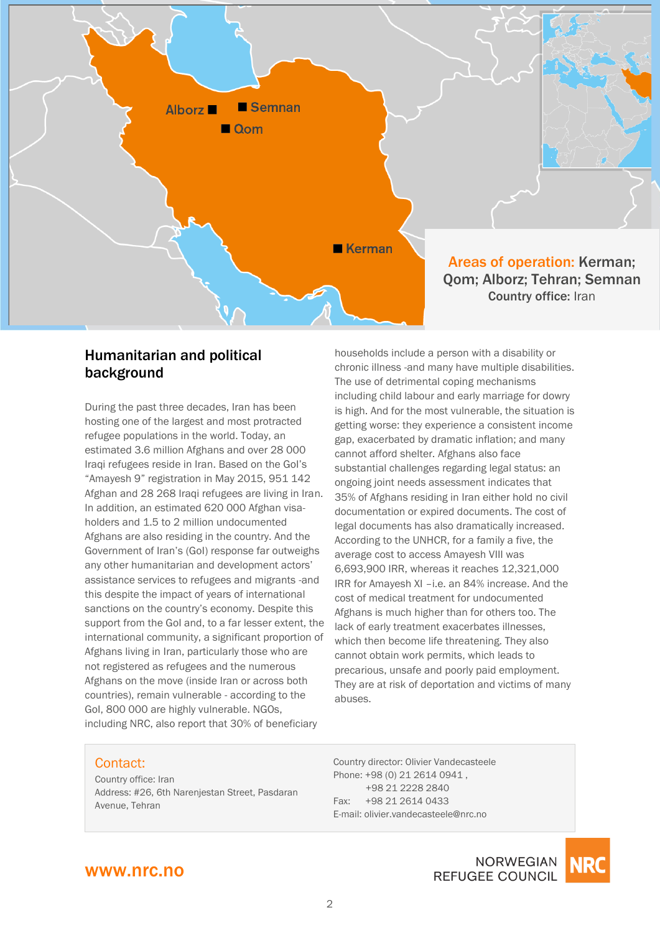

### Humanitarian and political background

During the past three decades, Iran has been hosting one of the largest and most protracted refugee populations in the world. Today, an estimated 3.6 million Afghans and over 28 000 Iraqi refugees reside in Iran. Based on the GoI's "Amayesh 9" registration in May 2015, 951 142 Afghan and 28 268 Iraqi refugees are living in Iran. In addition, an estimated 620 000 Afghan visaholders and 1.5 to 2 million undocumented Afghans are also residing in the country. And the Government of Iran's (GoI) response far outweighs any other humanitarian and development actors' assistance services to refugees and migrants -and this despite the impact of years of international sanctions on the country's economy. Despite this support from the GoI and, to a far lesser extent, the international community, a significant proportion of Afghans living in Iran, particularly those who are not registered as refugees and the numerous Afghans on the move (inside Iran or across both countries), remain vulnerable - according to the GoI, 800 000 are highly vulnerable. NGOs, including NRC, also report that 30% of beneficiary

households include a person with a disability or chronic illness -and many have multiple disabilities. The use of detrimental coping mechanisms including child labour and early marriage for dowry is high. And for the most vulnerable, the situation is getting worse: they experience a consistent income gap, exacerbated by dramatic inflation; and many cannot afford shelter. Afghans also face substantial challenges regarding legal status: an ongoing joint needs assessment indicates that 35% of Afghans residing in Iran either hold no civil documentation or expired documents. The cost of legal documents has also dramatically increased. According to the UNHCR, for a family a five, the average cost to access Amayesh VIII was 6,693,900 IRR, whereas it reaches 12,321,000 IRR for Amayesh XI –i.e. an 84% increase. And the cost of medical treatment for undocumented Afghans is much higher than for others too. The lack of early treatment exacerbates illnesses, which then become life threatening. They also cannot obtain work permits, which leads to precarious, unsafe and poorly paid employment. They are at risk of deportation and victims of many abuses.

#### Contact:

Country office: Iran Address: #26, 6th Narenjestan Street, Pasdaran Avenue, Tehran

Country director: Olivier Vandecasteele Phone: +98 (0) 21 2614 0941 , +98 21 2228 2840 Fax: +98 21 2614 0433 E-mail: olivier.vandecasteele@nrc.no

# www.nrc.no

**NORWEGIAN REFUGEE COUNCIL** 

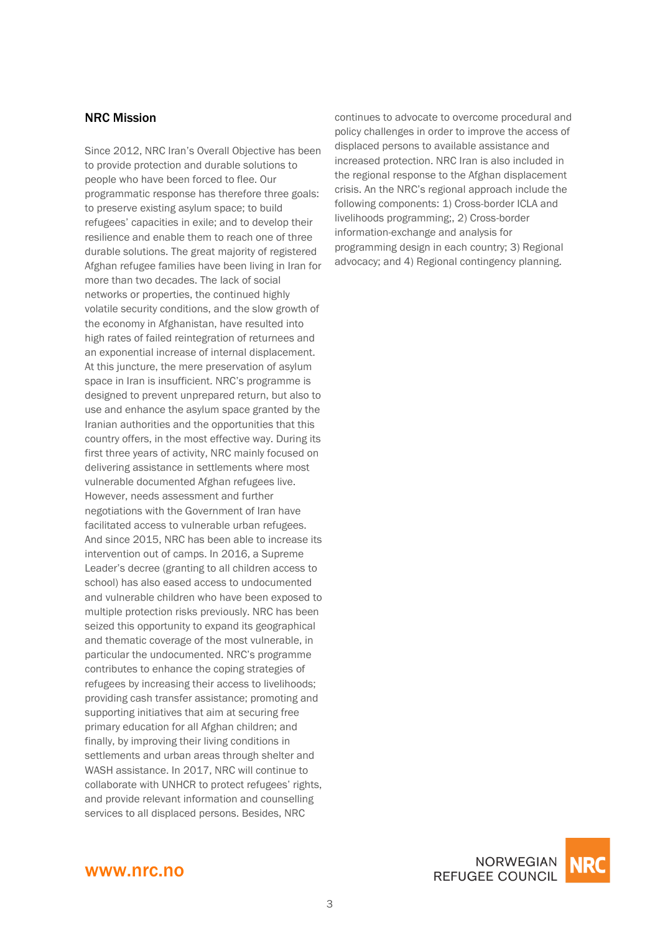### NRC Mission

Since 2012, NRC Iran's Overall Objective has been to provide protection and durable solutions to people who have been forced to flee. Our programmatic response has therefore three goals: to preserve existing asylum space; to build refugees' capacities in exile; and to develop their resilience and enable them to reach one of three durable solutions. The great majority of registered Afghan refugee families have been living in Iran for more than two decades. The lack of social networks or properties, the continued highly volatile security conditions, and the slow growth of the economy in Afghanistan, have resulted into high rates of failed reintegration of returnees and an exponential increase of internal displacement. At this juncture, the mere preservation of asylum space in Iran is insufficient. NRC's programme is designed to prevent unprepared return, but also to use and enhance the asylum space granted by the Iranian authorities and the opportunities that this country offers, in the most effective way. During its first three years of activity, NRC mainly focused on delivering assistance in settlements where most vulnerable documented Afghan refugees live. However, needs assessment and further negotiations with the Government of Iran have facilitated access to vulnerable urban refugees. And since 2015, NRC has been able to increase its intervention out of camps. In 2016, a Supreme Leader's decree (granting to all children access to school) has also eased access to undocumented and vulnerable children who have been exposed to multiple protection risks previously. NRC has been seized this opportunity to expand its geographical and thematic coverage of the most vulnerable, in particular the undocumented. NRC's programme contributes to enhance the coping strategies of refugees by increasing their access to livelihoods; providing cash transfer assistance; promoting and supporting initiatives that aim at securing free primary education for all Afghan children; and finally, by improving their living conditions in settlements and urban areas through shelter and WASH assistance. In 2017, NRC will continue to collaborate with UNHCR to protect refugees' rights, and provide relevant information and counselling services to all displaced persons. Besides, NRC

continues to advocate to overcome procedural and policy challenges in order to improve the access of displaced persons to available assistance and increased protection. NRC Iran is also included in the regional response to the Afghan displacement crisis. An the NRC's regional approach include the following components: 1) Cross-border ICLA and livelihoods programming;, 2) Cross-border information-exchange and analysis for programming design in each country; 3) Regional advocacy; and 4) Regional contingency planning.



#### www.nrc.no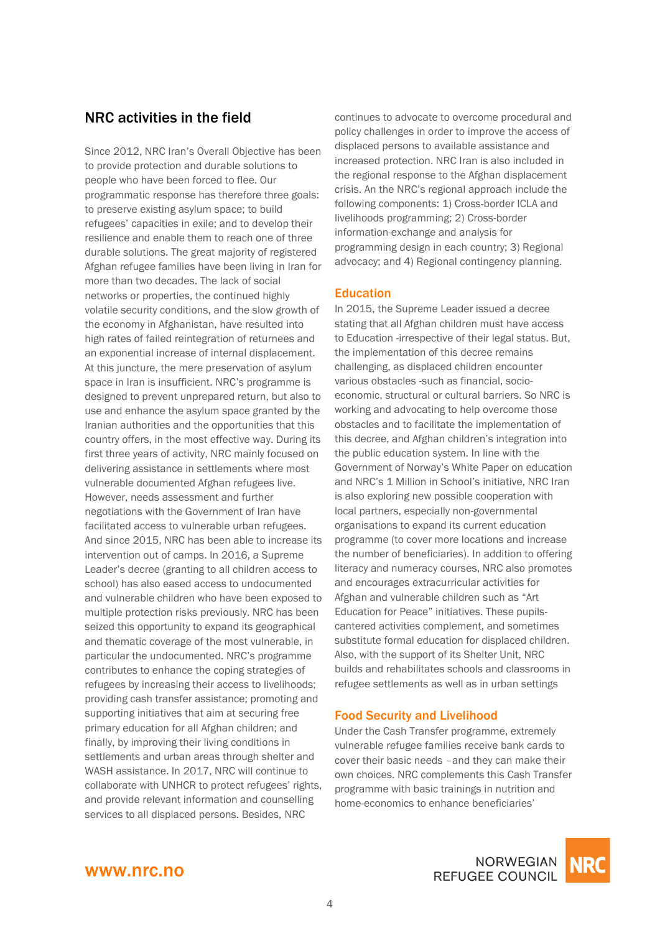# NRC activities in the field

Since 2012, NRC Iran's Overall Objective has been to provide protection and durable solutions to people who have been forced to flee. Our programmatic response has therefore three goals: to preserve existing asylum space; to build refugees' capacities in exile; and to develop their resilience and enable them to reach one of three durable solutions. The great majority of registered Afghan refugee families have been living in Iran for more than two decades. The lack of social networks or properties, the continued highly volatile security conditions, and the slow growth of the economy in Afghanistan, have resulted into high rates of failed reintegration of returnees and an exponential increase of internal displacement. At this juncture, the mere preservation of asylum space in Iran is insufficient. NRC's programme is designed to prevent unprepared return, but also to use and enhance the asylum space granted by the Iranian authorities and the opportunities that this country offers, in the most effective way. During its first three years of activity, NRC mainly focused on delivering assistance in settlements where most vulnerable documented Afghan refugees live. However, needs assessment and further negotiations with the Government of Iran have facilitated access to vulnerable urban refugees. And since 2015, NRC has been able to increase its intervention out of camps. In 2016, a Supreme Leader's decree (granting to all children access to school) has also eased access to undocumented and vulnerable children who have been exposed to multiple protection risks previously. NRC has been seized this opportunity to expand its geographical and thematic coverage of the most vulnerable, in particular the undocumented. NRC's programme contributes to enhance the coping strategies of refugees by increasing their access to livelihoods; providing cash transfer assistance; promoting and supporting initiatives that aim at securing free primary education for all Afghan children; and finally, by improving their living conditions in settlements and urban areas through shelter and WASH assistance. In 2017, NRC will continue to collaborate with UNHCR to protect refugees' rights, and provide relevant information and counselling services to all displaced persons. Besides, NRC

continues to advocate to overcome procedural and policy challenges in order to improve the access of displaced persons to available assistance and increased protection. NRC Iran is also included in the regional response to the Afghan displacement crisis. An the NRC's regional approach include the following components: 1) Cross-border ICLA and livelihoods programming; 2) Cross-border information-exchange and analysis for programming design in each country; 3) Regional advocacy; and 4) Regional contingency planning.

#### **Education**

In 2015, the Supreme Leader issued a decree stating that all Afghan children must have access to Education -irrespective of their legal status. But, the implementation of this decree remains challenging, as displaced children encounter various obstacles -such as financial, socioeconomic, structural or cultural barriers. So NRC is working and advocating to help overcome those obstacles and to facilitate the implementation of this decree, and Afghan children's integration into the public education system. In line with the Government of Norway's White Paper on education and NRC's 1 Million in School's initiative, NRC Iran is also exploring new possible cooperation with local partners, especially non-governmental organisations to expand its current education programme (to cover more locations and increase the number of beneficiaries). In addition to offering literacy and numeracy courses, NRC also promotes and encourages extracurricular activities for Afghan and vulnerable children such as "Art Education for Peace" initiatives. These pupilscantered activities complement, and sometimes substitute formal education for displaced children. Also, with the support of its Shelter Unit, NRC builds and rehabilitates schools and classrooms in refugee settlements as well as in urban settings

#### Food Security and Livelihood

Under the Cash Transfer programme, extremely vulnerable refugee families receive bank cards to cover their basic needs –and they can make their own choices. NRC complements this Cash Transfer programme with basic trainings in nutrition and home-economics to enhance beneficiaries'

# www.nrc.no

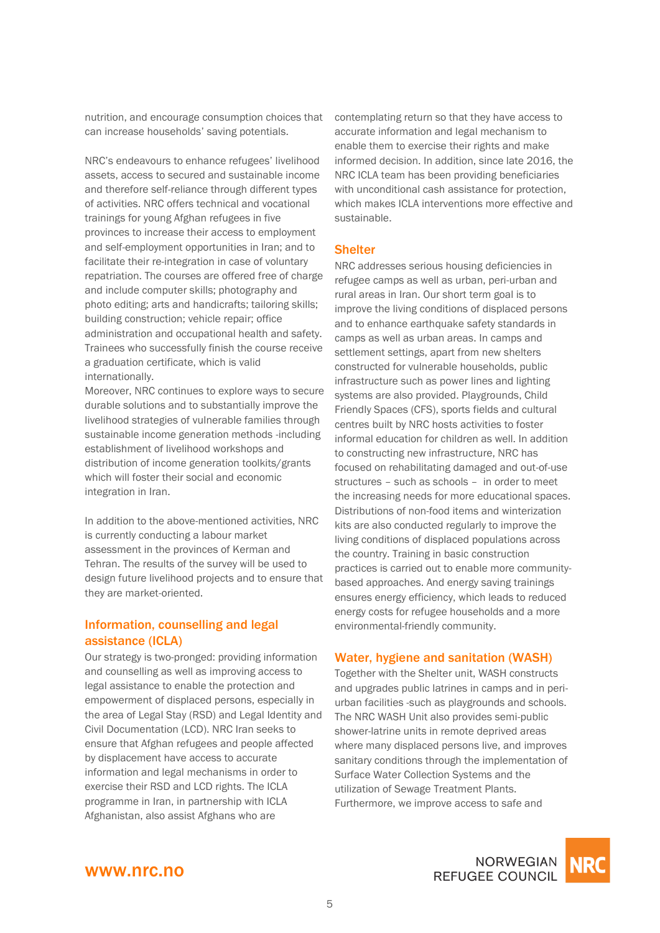nutrition, and encourage consumption choices that can increase households' saving potentials.

NRC's endeavours to enhance refugees' livelihood assets, access to secured and sustainable income and therefore self-reliance through different types of activities. NRC offers technical and vocational trainings for young Afghan refugees in five provinces to increase their access to employment and self-employment opportunities in Iran; and to facilitate their re-integration in case of voluntary repatriation. The courses are offered free of charge and include computer skills; photography and photo editing; arts and handicrafts; tailoring skills; building construction; vehicle repair; office administration and occupational health and safety. Trainees who successfully finish the course receive a graduation certificate, which is valid internationally.

Moreover, NRC continues to explore ways to secure durable solutions and to substantially improve the livelihood strategies of vulnerable families through sustainable income generation methods -including establishment of livelihood workshops and distribution of income generation toolkits/grants which will foster their social and economic integration in Iran.

In addition to the above-mentioned activities, NRC is currently conducting a labour market assessment in the provinces of Kerman and Tehran. The results of the survey will be used to design future livelihood projects and to ensure that they are market-oriented.

### Information, counselling and legal assistance (ICLA)

Our strategy is two-pronged: providing information and counselling as well as improving access to legal assistance to enable the protection and empowerment of displaced persons, especially in the area of Legal Stay (RSD) and Legal Identity and Civil Documentation (LCD). NRC Iran seeks to ensure that Afghan refugees and people affected by displacement have access to accurate information and legal mechanisms in order to exercise their RSD and LCD rights. The ICLA programme in Iran, in partnership with ICLA Afghanistan, also assist Afghans who are

contemplating return so that they have access to accurate information and legal mechanism to enable them to exercise their rights and make informed decision. In addition, since late 2016, the NRC ICLA team has been providing beneficiaries with unconditional cash assistance for protection. which makes ICLA interventions more effective and sustainable.

#### **Shelter**

NRC addresses serious housing deficiencies in refugee camps as well as urban, peri-urban and rural areas in Iran. Our short term goal is to improve the living conditions of displaced persons and to enhance earthquake safety standards in camps as well as urban areas. In camps and settlement settings, apart from new shelters constructed for vulnerable households, public infrastructure such as power lines and lighting systems are also provided. Playgrounds, Child Friendly Spaces (CFS), sports fields and cultural centres built by NRC hosts activities to foster informal education for children as well. In addition to constructing new infrastructure, NRC has focused on rehabilitating damaged and out-of-use structures – such as schools – in order to meet the increasing needs for more educational spaces. Distributions of non-food items and winterization kits are also conducted regularly to improve the living conditions of displaced populations across the country. Training in basic construction practices is carried out to enable more communitybased approaches. And energy saving trainings ensures energy efficiency, which leads to reduced energy costs for refugee households and a more environmental-friendly community.

#### Water, hygiene and sanitation (WASH)

Together with the Shelter unit, WASH constructs and upgrades public latrines in camps and in periurban facilities -such as playgrounds and schools. The NRC WASH Unit also provides semi-public shower-latrine units in remote deprived areas where many displaced persons live, and improves sanitary conditions through the implementation of Surface Water Collection Systems and the utilization of Sewage Treatment Plants. Furthermore, we improve access to safe and



NORWEGIAN **REFUGEE COUNCIL**